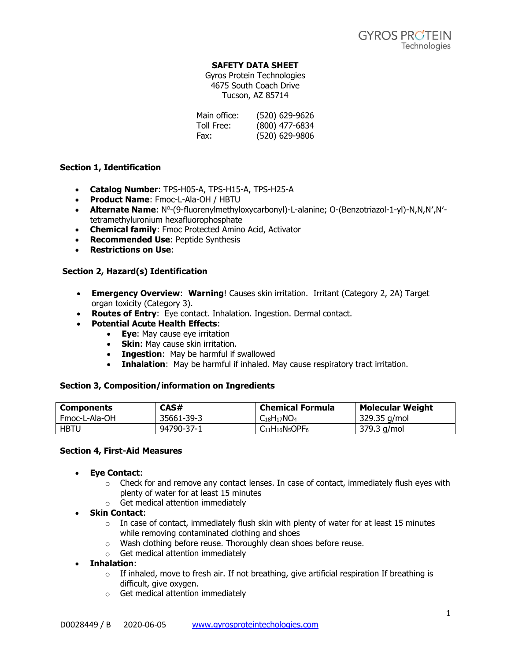### **SAFETY DATA SHEET**

Gyros Protein Technologies 4675 South Coach Drive Tucson, AZ 85714

| Main office: | (520) 629-9626 |
|--------------|----------------|
| Toll Free:   | (800) 477-6834 |
| Fax:         | (520) 629-9806 |

### **Section 1, Identification**

- **Catalog Number**: TPS-H05-A, TPS-H15-A, TPS-H25-A
- **Product Name**: Fmoc-L-Ala-OH / HBTU
- **Alternate Name**: N<sup>a</sup>-(9-fluorenylmethyloxycarbonyl)-L-alanine; O-(Benzotriazol-1-yl)-N,N,N',N'tetramethyluronium hexafluorophosphate
- **Chemical family**: Fmoc Protected Amino Acid, Activator
- **Recommended Use**: Peptide Synthesis
- **Restrictions on Use**:

# **Section 2, Hazard(s) Identification**

- **Emergency Overview**: **Warning**! Causes skin irritation. Irritant (Category 2, 2A) Target organ toxicity (Category 3).
- **Routes of Entry**: Eye contact. Inhalation. Ingestion. Dermal contact.
- **Potential Acute Health Effects**:
	- **Eye**: May cause eye irritation
	- **Skin**: May cause skin irritation.
	- **Ingestion**: May be harmful if swallowed
	- **Inhalation**: May be harmful if inhaled. May cause respiratory tract irritation.

### **Section 3, Composition/information on Ingredients**

| <b>Components</b> | CAS#       | <b>Chemical Formula</b> | <b>Molecular Weight</b> |
|-------------------|------------|-------------------------|-------------------------|
| Fmoc-L-Ala-OH     | 35661-39-3 | $C_{18}H_{17}NO_4$      | 329.35 g/mol            |
| <b>HBTU</b>       | 94790-37-1 | $C_{11}H_{16}N_5OPF_6$  | 379.3 g/mol             |

### **Section 4, First-Aid Measures**

- **Eye Contact**:
	- $\circ$  Check for and remove any contact lenses. In case of contact, immediately flush eyes with plenty of water for at least 15 minutes
	- o Get medical attention immediately
- **Skin Contact**:
	- $\circ$  In case of contact, immediately flush skin with plenty of water for at least 15 minutes while removing contaminated clothing and shoes
	- o Wash clothing before reuse. Thoroughly clean shoes before reuse.
	- o Get medical attention immediately
- **Inhalation**:
	- $\circ$  If inhaled, move to fresh air. If not breathing, give artificial respiration If breathing is difficult, give oxygen.
	- o Get medical attention immediately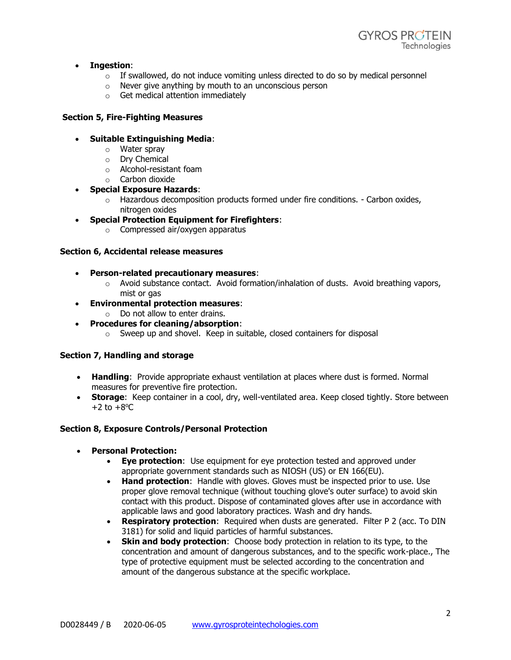

### • **Ingestion**:

- $\circ$  If swallowed, do not induce vomiting unless directed to do so by medical personnel
- o Never give anything by mouth to an unconscious person
- o Get medical attention immediately

# **Section 5, Fire-Fighting Measures**

### • **Suitable Extinguishing Media**:

- o Water spray
- o Dry Chemical
- o Alcohol-resistant foam
- o Carbon dioxide

# • **Special Exposure Hazards**:

- $\circ$  Hazardous decomposition products formed under fire conditions. Carbon oxides, nitrogen oxides
- **Special Protection Equipment for Firefighters**:
	- o Compressed air/oxygen apparatus

### **Section 6, Accidental release measures**

- **Person-related precautionary measures**:
	- $\circ$  Avoid substance contact. Avoid formation/inhalation of dusts. Avoid breathing vapors, mist or gas
- **Environmental protection measures**:
	- $\circ$  Do not allow to enter drains.
- **Procedures for cleaning/absorption**:
	- o Sweep up and shovel. Keep in suitable, closed containers for disposal

### **Section 7, Handling and storage**

- **Handling**: Provide appropriate exhaust ventilation at places where dust is formed. Normal measures for preventive fire protection.
- **Storage**: Keep container in a cool, dry, well-ventilated area. Keep closed tightly. Store between  $+2$  to  $+8$ <sup>o</sup>C.

### **Section 8, Exposure Controls/Personal Protection**

- **Personal Protection:**
	- **Eye protection**: Use equipment for eye protection tested and approved under appropriate government standards such as NIOSH (US) or EN 166(EU).
	- **Hand protection**: Handle with gloves. Gloves must be inspected prior to use. Use proper glove removal technique (without touching glove's outer surface) to avoid skin contact with this product. Dispose of contaminated gloves after use in accordance with applicable laws and good laboratory practices. Wash and dry hands.
	- **Respiratory protection**: Required when dusts are generated. Filter P 2 (acc. To DIN 3181) for solid and liquid particles of harmful substances.
	- **Skin and body protection**: Choose body protection in relation to its type, to the concentration and amount of dangerous substances, and to the specific work-place., The type of protective equipment must be selected according to the concentration and amount of the dangerous substance at the specific workplace.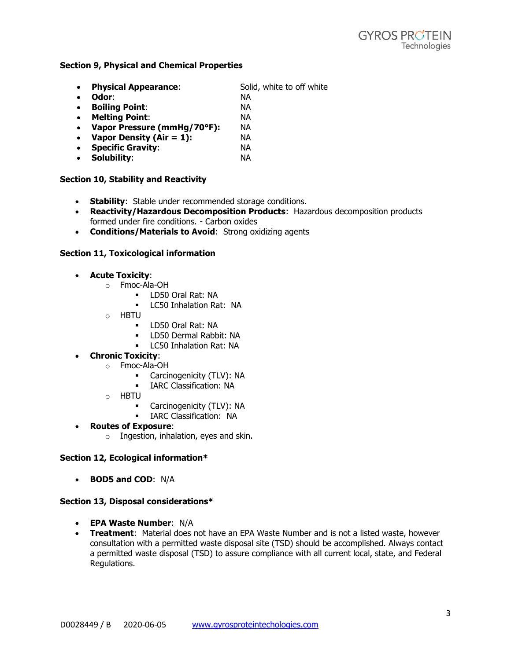#### **Section 9, Physical and Chemical Properties**

- **Physical Appearance:** Solid, white to off white
- **Odor**: NA
- **Boiling Point**: NA
- **Melting Point**: NA • **Vapor Pressure (mmHg/70°F):** NA
- **Vapor Density (Air = 1):** NA
- **Specific Gravity**: NA
- **Solubility**: NA

# **Section 10, Stability and Reactivity**

- **Stability**: Stable under recommended storage conditions.
- **Reactivity/Hazardous Decomposition Products**: Hazardous decomposition products formed under fire conditions. - Carbon oxides
- **Conditions/Materials to Avoid**: Strong oxidizing agents

### **Section 11, Toxicological information**

- **Acute Toxicity**:
	- o Fmoc-Ala-OH
		- LD50 Oral Rat: NA
		- LC50 Inhalation Rat: NA
	- o HBTU
		- LD50 Oral Rat: NA
		- LD50 Dermal Rabbit: NA
		- LC50 Inhalation Rat: NA
- **Chronic Toxicity**:
	- o Fmoc-Ala-OH
		- Carcinogenicity (TLV): NA
		- **·** IARC Classification: NA
	- o HBTU
		- Carcinogenicity (TLV): NA
		- **·** IARC Classification: NA
- **Routes of Exposure**:
	- o Ingestion, inhalation, eyes and skin.

### **Section 12, Ecological information\***

• **BOD5 and COD**: N/A

### **Section 13, Disposal considerations\***

- **EPA Waste Number**: N/A
- **Treatment**: Material does not have an EPA Waste Number and is not a listed waste, however consultation with a permitted waste disposal site (TSD) should be accomplished. Always contact a permitted waste disposal (TSD) to assure compliance with all current local, state, and Federal Regulations.